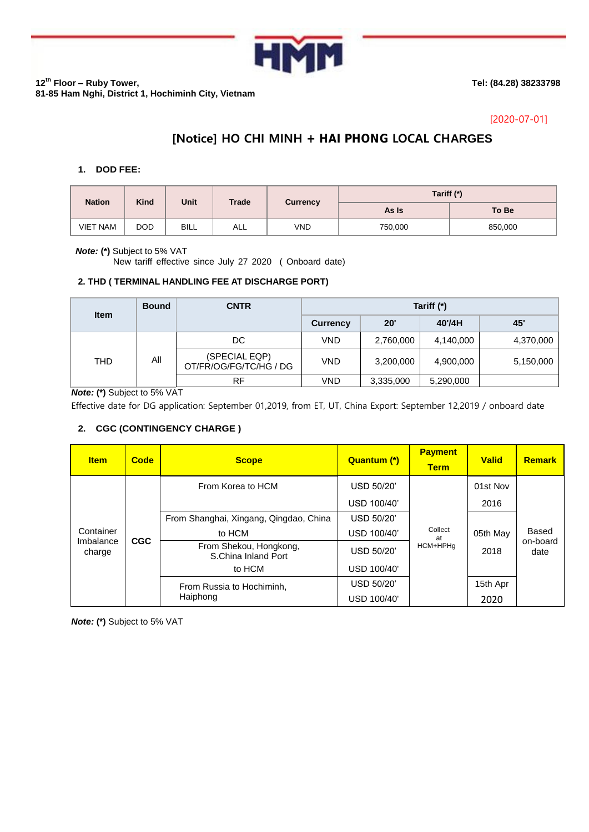

**12th Floor – Ruby Tower, 81-85 Ham Nghi, District 1, Hochiminh City, Vietnam** **Tel: (84.28) 38233798**

## [2020-07-01]

# **[Notice] HO CHI MINH + HAI PHONG LOCAL CHARGES**

### **1. DOD FEE:**

| <b>Nation</b>   | <b>Kind</b> | Unit        | Trade | <b>Currency</b> | Tariff (*) |         |  |
|-----------------|-------------|-------------|-------|-----------------|------------|---------|--|
|                 |             |             |       |                 | As Is      | To Be   |  |
| <b>VIET NAM</b> | <b>DOD</b>  | <b>BILL</b> | ALL   | VND             | 750,000    | 850,000 |  |

#### *Note:* **(\*)** Subject to 5% VAT

New tariff effective since July 27 2020 ( Onboard date)

## **2. THD ( TERMINAL HANDLING FEE AT DISCHARGE PORT)**

| <b>Item</b> | <b>Bound</b> | <b>CNTR</b>                             | Tariff (*)      |              |           |           |  |
|-------------|--------------|-----------------------------------------|-----------------|--------------|-----------|-----------|--|
|             |              |                                         | <b>Currency</b> | $20^{\circ}$ | 40'/4H    | 45'       |  |
| THD         | ΑIΙ          | DC                                      | VND             | 2,760,000    | 4,140,000 | 4,370,000 |  |
|             |              | (SPECIAL EQP)<br>OT/FR/OG/FG/TC/HG / DG | VND             | 3,200,000    | 4,900,000 | 5,150,000 |  |
|             |              | <b>RF</b>                               | VND             | 3,335,000    | 5,290,000 |           |  |

*Note:* **(\*)** Subject to 5% VAT

Effective date for DG application: September 01,2019, from ET, UT, China Export: September 12,2019 / onboard date

## **2. CGC (CONTINGENCY CHARGE )**

| <b>Item</b>                      | Code       | <b>Scope</b>                                  | Quantum (*) | <b>Payment</b><br><b>Term</b> | <b>Valid</b>     | <b>Remark</b>             |
|----------------------------------|------------|-----------------------------------------------|-------------|-------------------------------|------------------|---------------------------|
| Container<br>Imbalance<br>charge | <b>CGC</b> | From Korea to HCM                             | USD 50/20'  | Collect<br>at<br>HCM+HPHq     | 01st Nov         |                           |
|                                  |            |                                               | USD 100/40' |                               | 2016             |                           |
|                                  |            | From Shanghai, Xingang, Qingdao, China        | USD 50/20'  |                               |                  |                           |
|                                  |            | to HCM                                        | USD 100/40' |                               | 05th May<br>2018 | Based<br>on-board<br>date |
|                                  |            | From Shekou, Hongkong,<br>S.China Inland Port | USD 50/20'  |                               |                  |                           |
|                                  |            | to HCM                                        | USD 100/40' |                               |                  |                           |
|                                  |            | From Russia to Hochiminh,                     | USD 50/20'  |                               | 15th Apr         |                           |
|                                  |            | Haiphong                                      | USD 100/40' |                               | 2020             |                           |

*Note:* **(\*)** Subject to 5% VAT